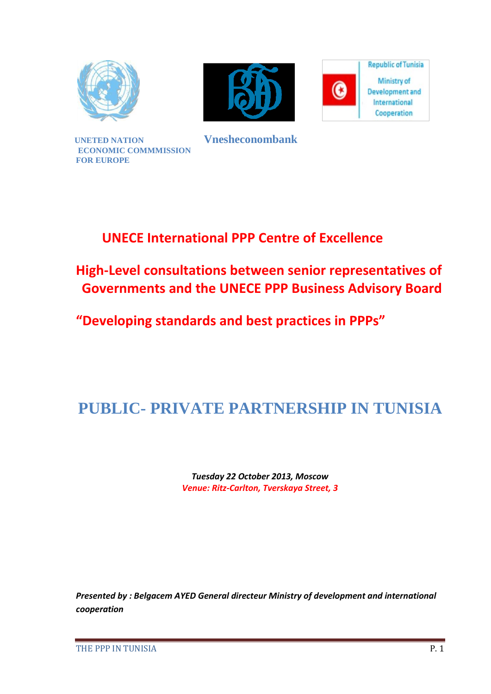



**Republic of Tunisia** Ministry of  $\bf{O}$ **Development** and International Cooperation

**UNETED NATION Vnesheconombank ECONOMIC COMMMISSION FOR EUROPE**

### **UNECE International PPP Centre of Excellence**

**High-Level consultations between senior representatives of Governments and the UNECE PPP Business Advisory Board** 

**"Developing standards and best practices in PPPs"**

## **PUBLIC- PRIVATE PARTNERSHIP IN TUNISIA**

*Tuesday 22 October 2013, Moscow Venue: Ritz-Carlton, Tverskaya Street, 3*

*Presented by : Belgacem AYED General directeur Ministry of development and international cooperation*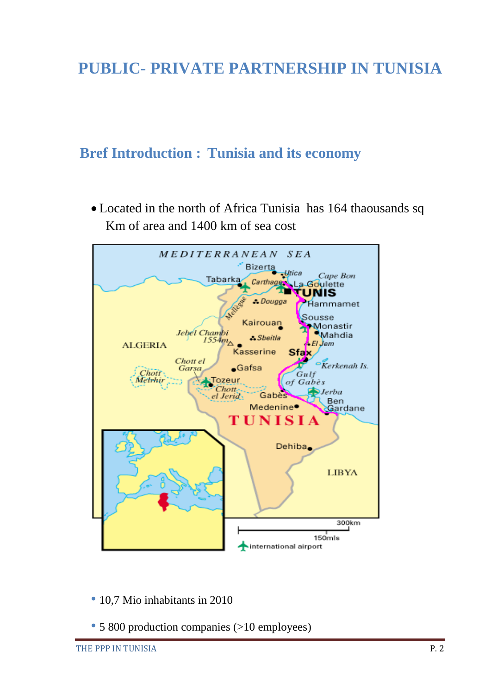## **PUBLIC- PRIVATE PARTNERSHIP IN TUNISIA**

### **Bref Introduction : Tunisia and its economy**

 Located in the north of Africa Tunisia has 164 thaousands sq Km of area and 1400 km of sea cost



- 10,7 Mio inhabitants in 2010
- 5 800 production companies (>10 employees)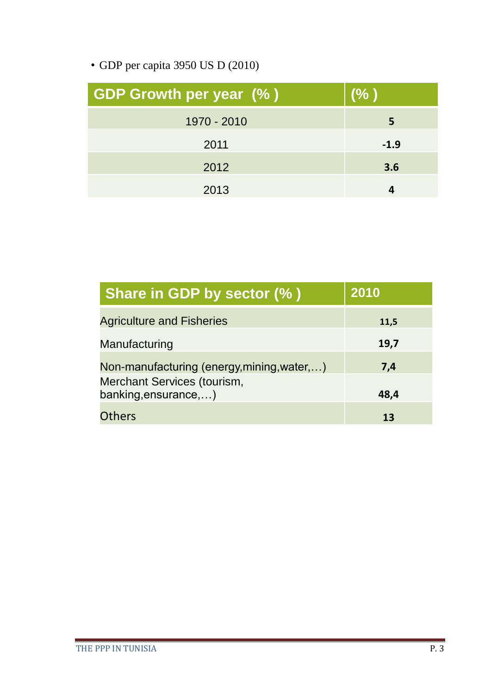• GDP per capita 3950 US D (2010)

| <b>GDP Growth per year (%)</b> | (% )   |
|--------------------------------|--------|
| 1970 - 2010                    | 5      |
| 2011                           | $-1.9$ |
| 2012                           | 3.6    |
| 2013                           |        |

| Share in GDP by sector (%)                          | 2010 |
|-----------------------------------------------------|------|
| <b>Agriculture and Fisheries</b>                    | 11,5 |
| Manufacturing                                       | 19,7 |
| Non-manufacturing (energy, mining, water,)          | 7,4  |
| Merchant Services (tourism,<br>banking, ensurance,) | 48,4 |
| <b>Others</b>                                       | 13   |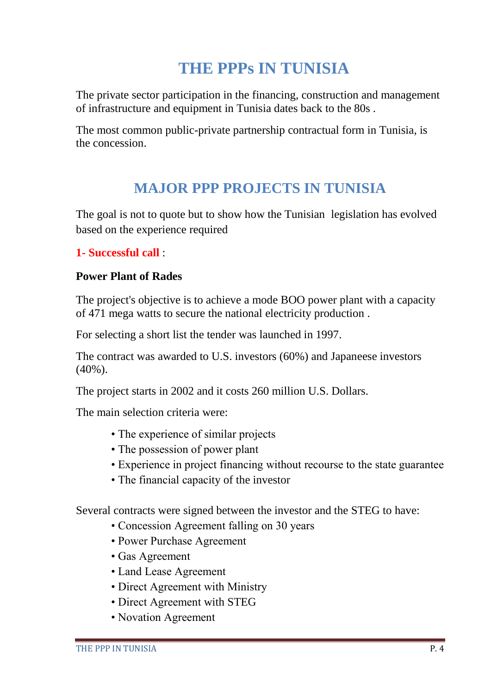## **THE PPPs IN TUNISIA**

The private sector participation in the financing, construction and management of infrastructure and equipment in Tunisia dates back to the 80s .

The most common public-private partnership contractual form in Tunisia, is the concession.

### **MAJOR PPP PROJECTS IN TUNISIA**

The goal is not to quote but to show how the Tunisian legislation has evolved based on the experience required

#### **1- Successful call** :

#### **Power Plant of Rades**

The project's objective is to achieve a mode BOO power plant with a capacity of 471 mega watts to secure the national electricity production .

For selecting a short list the tender was launched in 1997.

The contract was awarded to U.S. investors (60%) and Japaneese investors (40%).

The project starts in 2002 and it costs 260 million U.S. Dollars.

The main selection criteria were:

- The experience of similar projects
- The possession of power plant
- Experience in project financing without recourse to the state guarantee
- The financial capacity of the investor

Several contracts were signed between the investor and the STEG to have:

- Concession Agreement falling on 30 years
- Power Purchase Agreement
- Gas Agreement
- Land Lease Agreement
- Direct Agreement with Ministry
- Direct Agreement with STEG
- Novation Agreement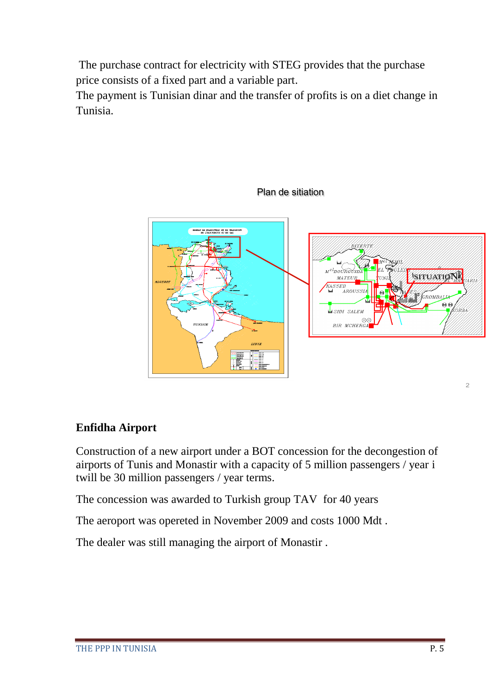The purchase contract for electricity with STEG provides that the purchase price consists of a fixed part and a variable part.

The payment is Tunisian dinar and the transfer of profits is on a diet change in Tunisia.



#### Plan de sitiation

#### **Enfidha Airport**

Construction of a new airport under a BOT concession for the decongestion of airports of Tunis and Monastir with a capacity of 5 million passengers / year i twill be 30 million passengers / year terms.

The concession was awarded to Turkish group TAV for 40 years

The aeroport was opereted in November 2009 and costs 1000 Mdt .

The dealer was still managing the airport of Monastir .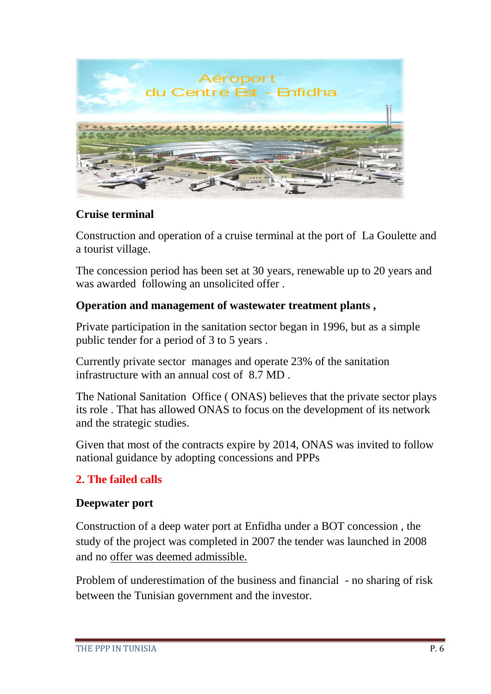

#### **Cruise terminal**

Construction and operation of a cruise terminal at the port of La Goulette and a tourist village.

The concession period has been set at 30 years, renewable up to 20 years and was awarded following an unsolicited offer .

#### **Operation and management of wastewater treatment plants ,**

Private participation in the sanitation sector began in 1996, but as a simple public tender for a period of 3 to 5 years .

Currently private sector manages and operate 23% of the sanitation infrastructure with an annual cost of 8.7 MD .

The National Sanitation Office ( ONAS) believes that the private sector plays its role . That has allowed ONAS to focus on the development of its network and the strategic studies.

Given that most of the contracts expire by 2014, ONAS was invited to follow national guidance by adopting concessions and PPPs

#### **2. The failed calls**

#### **Deepwater port**

Construction of a deep water port at Enfidha under a BOT concession , the study of the project was completed in 2007 the tender was launched in 2008 and no offer was deemed admissible.

Problem of underestimation of the business and financial - no sharing of risk between the Tunisian government and the investor.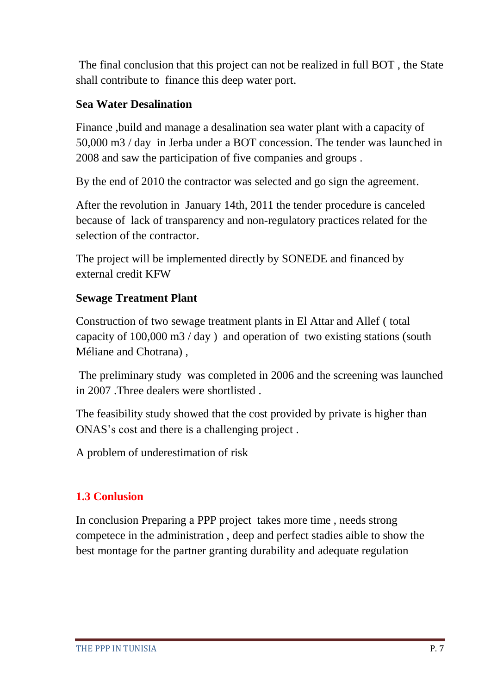The final conclusion that this project can not be realized in full BOT , the State shall contribute to finance this deep water port.

#### **Sea Water Desalination**

Finance ,build and manage a desalination sea water plant with a capacity of 50,000 m3 / day in Jerba under a BOT concession. The tender was launched in 2008 and saw the participation of five companies and groups .

By the end of 2010 the contractor was selected and go sign the agreement.

After the revolution in January 14th, 2011 the tender procedure is canceled because of lack of transparency and non-regulatory practices related for the selection of the contractor.

The project will be implemented directly by SONEDE and financed by external credit KFW

#### **Sewage Treatment Plant**

Construction of two sewage treatment plants in El Attar and Allef ( total capacity of 100,000 m3 / day ) and operation of two existing stations (south Méliane and Chotrana) ,

The preliminary study was completed in 2006 and the screening was launched in 2007 .Three dealers were shortlisted .

The feasibility study showed that the cost provided by private is higher than ONAS's cost and there is a challenging project .

A problem of underestimation of risk

#### **1.3 Conlusion**

In conclusion Preparing a PPP project takes more time , needs strong competece in the administration , deep and perfect stadies aible to show the best montage for the partner granting durability and adequate regulation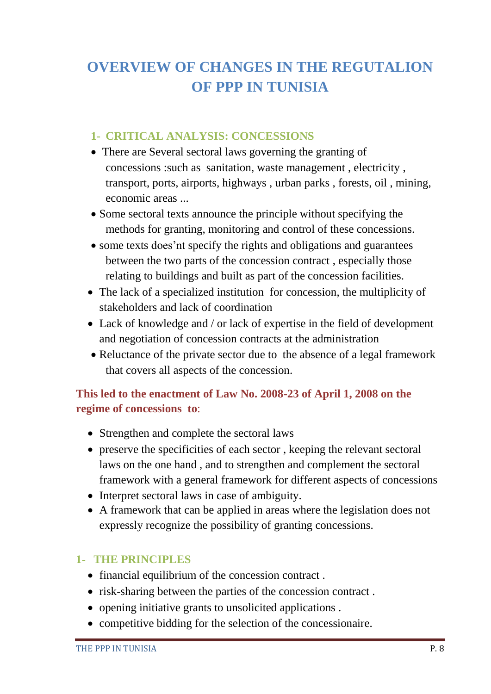### **OVERVIEW OF CHANGES IN THE REGUTALION OF PPP IN TUNISIA**

#### **1- CRITICAL ANALYSIS: CONCESSIONS**

- There are Several sectoral laws governing the granting of concessions :such as sanitation, waste management , electricity , transport, ports, airports, highways , urban parks , forests, oil , mining, economic areas ...
- Some sectoral texts announce the principle without specifying the methods for granting, monitoring and control of these concessions.
- some texts does'nt specify the rights and obligations and guarantees between the two parts of the concession contract , especially those relating to buildings and built as part of the concession facilities.
- The lack of a specialized institution for concession, the multiplicity of stakeholders and lack of coordination
- Lack of knowledge and / or lack of expertise in the field of development and negotiation of concession contracts at the administration
- Reluctance of the private sector due to the absence of a legal framework that covers all aspects of the concession.

#### **This led to the enactment of Law No. 2008-23 of April 1, 2008 on the regime of concessions to**:

- Strengthen and complete the sectoral laws
- preserve the specificities of each sector , keeping the relevant sectoral laws on the one hand , and to strengthen and complement the sectoral framework with a general framework for different aspects of concessions
- Interpret sectoral laws in case of ambiguity.
- A framework that can be applied in areas where the legislation does not expressly recognize the possibility of granting concessions.

#### **1- THE PRINCIPLES**

- financial equilibrium of the concession contract.
- risk-sharing between the parties of the concession contract.
- opening initiative grants to unsolicited applications .
- competitive bidding for the selection of the concessionaire.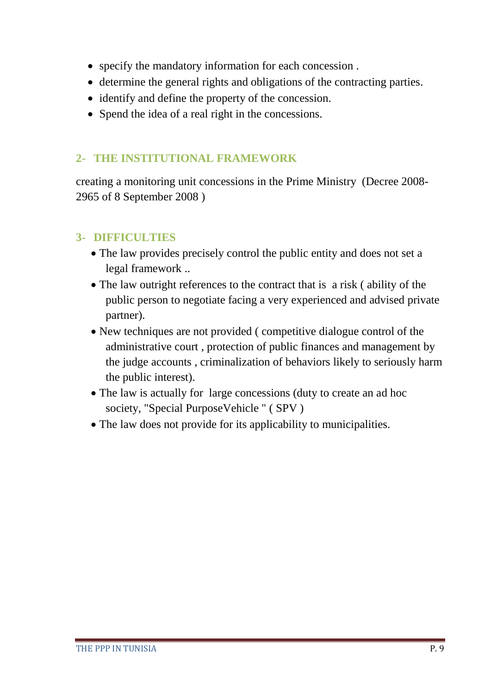- specify the mandatory information for each concession .
- determine the general rights and obligations of the contracting parties.
- identify and define the property of the concession.
- Spend the idea of a real right in the concessions.

#### **2- THE INSTITUTIONAL FRAMEWORK**

creating a monitoring unit concessions in the Prime Ministry (Decree 2008- 2965 of 8 September 2008 )

#### **3- DIFFICULTIES**

- The law provides precisely control the public entity and does not set a legal framework ..
- The law outright references to the contract that is a risk (ability of the public person to negotiate facing a very experienced and advised private partner).
- New techniques are not provided ( competitive dialogue control of the administrative court , protection of public finances and management by the judge accounts , criminalization of behaviors likely to seriously harm the public interest).
- The law is actually for large concessions (duty to create an ad hoc society, "Special PurposeVehicle " ( SPV )
- The law does not provide for its applicability to municipalities.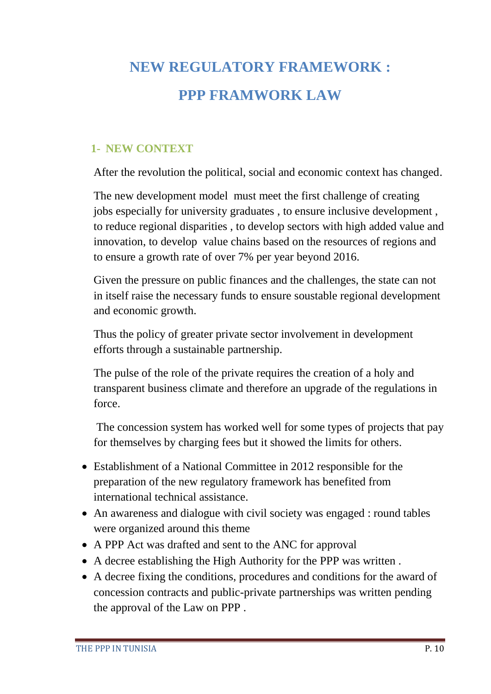# **NEW REGULATORY FRAMEWORK : PPP FRAMWORK LAW**

#### **1- NEW CONTEXT**

After the revolution the political, social and economic context has changed.

The new development model must meet the first challenge of creating jobs especially for university graduates , to ensure inclusive development , to reduce regional disparities , to develop sectors with high added value and innovation, to develop value chains based on the resources of regions and to ensure a growth rate of over 7% per year beyond 2016.

Given the pressure on public finances and the challenges, the state can not in itself raise the necessary funds to ensure soustable regional development and economic growth.

Thus the policy of greater private sector involvement in development efforts through a sustainable partnership.

The pulse of the role of the private requires the creation of a holy and transparent business climate and therefore an upgrade of the regulations in force.

The concession system has worked well for some types of projects that pay for themselves by charging fees but it showed the limits for others.

- Establishment of a National Committee in 2012 responsible for the preparation of the new regulatory framework has benefited from international technical assistance.
- An awareness and dialogue with civil society was engaged : round tables were organized around this theme
- A PPP Act was drafted and sent to the ANC for approval
- A decree establishing the High Authority for the PPP was written .
- A decree fixing the conditions, procedures and conditions for the award of concession contracts and public-private partnerships was written pending the approval of the Law on PPP .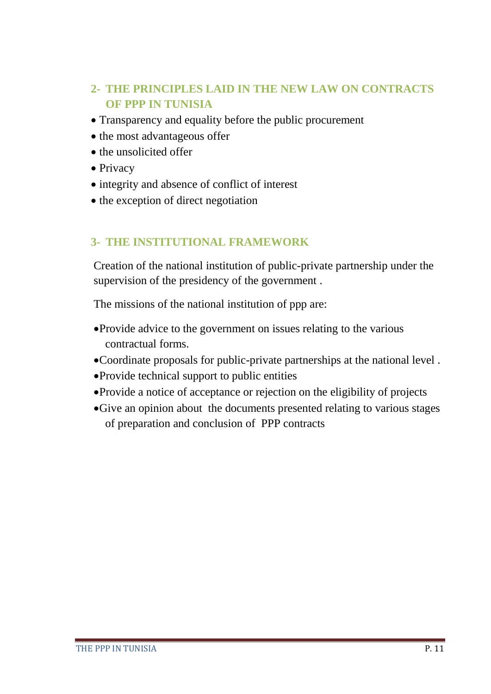#### **2- THE PRINCIPLES LAID IN THE NEW LAW ON CONTRACTS OF PPP IN TUNISIA**

- Transparency and equality before the public procurement
- the most advantageous offer
- the unsolicited offer
- Privacy
- integrity and absence of conflict of interest
- the exception of direct negotiation

#### **3- THE INSTITUTIONAL FRAMEWORK**

Creation of the national institution of public-private partnership under the supervision of the presidency of the government .

The missions of the national institution of ppp are:

- Provide advice to the government on issues relating to the various contractual forms.
- Coordinate proposals for public-private partnerships at the national level .
- Provide technical support to public entities
- Provide a notice of acceptance or rejection on the eligibility of projects
- Give an opinion about the documents presented relating to various stages of preparation and conclusion of PPP contracts